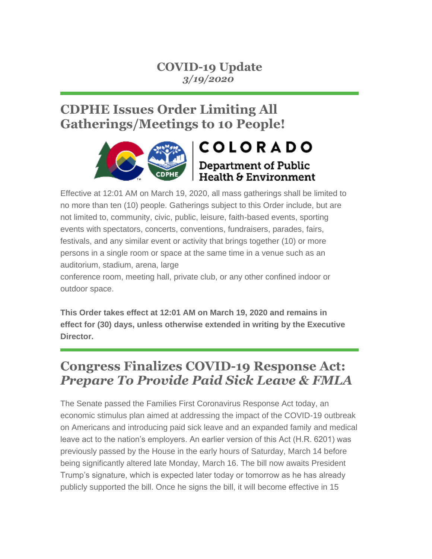### **COVID-19 Update** *3/19/2020*

# **CDPHE Issues Order Limiting All Gatherings/Meetings to 10 People!**



Effective at 12:01 AM on March 19, 2020, all mass gatherings shall be limited to no more than ten (10) people. Gatherings subject to this Order include, but are not limited to, community, civic, public, leisure, faith-based events, sporting events with spectators, concerts, conventions, fundraisers, parades, fairs, festivals, and any similar event or activity that brings together (10) or more persons in a single room or space at the same time in a venue such as an auditorium, stadium, arena, large

conference room, meeting hall, private club, or any other confined indoor or outdoor space.

**This Order takes effect at 12:01 AM on March 19, 2020 and remains in effect for (30) days, unless otherwise extended in writing by the Executive Director.**

## **Congress Finalizes COVID-19 Response Act:** *Prepare To Provide Paid Sick Leave & FMLA*

The Senate passed the Families First Coronavirus Response Act today, an economic stimulus plan aimed at addressing the impact of the COVID-19 outbreak on Americans and introducing paid sick leave and an expanded family and medical leave act to the nation's employers. An earlier version of this Act (H.R. 6201) was previously passed by the House in the early hours of Saturday, March 14 before being significantly altered late Monday, March 16. The bill now awaits President Trump's signature, which is expected later today or tomorrow as he has already publicly supported the bill. Once he signs the bill, it will become effective in 15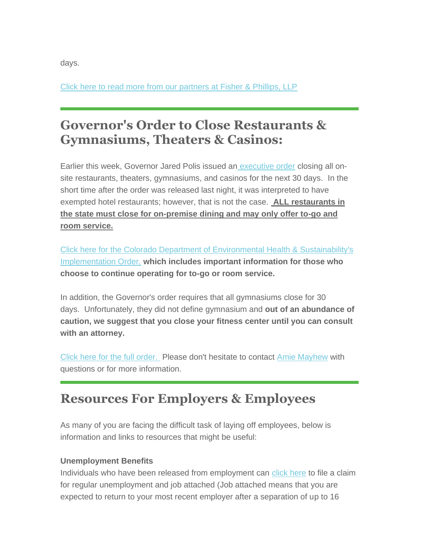days.

[Click here to read more from our partners at Fisher & Phillips, LLP](https://sitepilot06.firmseek.com/sitepilot/nt-fisherphillips-6170-link-resources%252Dalerts%252Dcongress%252Dfinalizes%252Dcovid%252D19%252Dcoronavirus%252Dresponse%252Dact-YW1heWhld0BjaGxhLmNvbQ==)

## **Governor's Order to Close Restaurants & Gymnasiums, Theaters & Casinos:**

Earlier this week, Governor Jared Polis issued an [executive order](https://drive.google.com/file/d/1s_LEio0lbenzTSDAi8qJDrp7KdAatY4Y/view) closing all onsite restaurants, theaters, gymnasiums, and casinos for the next 30 days. In the short time after the order was released last night, it was interpreted to have exempted hotel restaurants; however, that is not the case. **ALL restaurants in the state must close for on-premise dining and may only offer to-go and room service.** 

[Click here for the Colorado Department of Environmental Health & Sustainability's](https://drive.google.com/file/d/1pXAFPXCTLqBZvTJpuqrH45YeLB_Jc2wP/view)  [Implementation Order,](https://drive.google.com/file/d/1pXAFPXCTLqBZvTJpuqrH45YeLB_Jc2wP/view) **which includes important information for those who choose to continue operating for to-go or room service.**

In addition, the Governor's order requires that all gymnasiums close for 30 days. Unfortunately, they did not define gymnasium and **out of an abundance of caution, we suggest that you close your fitness center until you can consult with an attorney.** 

[Click here for the full order.](https://drive.google.com/file/d/1s_LEio0lbenzTSDAi8qJDrp7KdAatY4Y/view) Please don't hesitate to contact [Amie Mayhew](mailto:amayhew@chla.com?subject=COVID-19) with questions or for more information.

### **Resources For Employers & Employees**

As many of you are facing the difficult task of laying off employees, below is information and links to resources that might be useful:

#### **Unemployment Benefits**

Individuals who have been released from employment can [click here](https://corestaurant.us4.list-manage.com/track/click?u=13948cac38925ffaf6cd01e2a&id=e59b09a826&e=708b3745ea) to file a claim for regular unemployment and job attached (Job attached means that you are expected to return to your most recent employer after a separation of up to 16